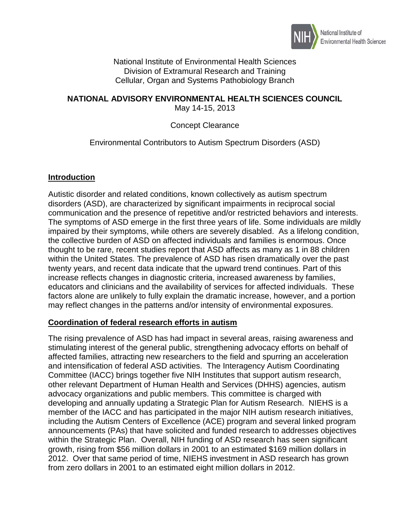

National Institute of Environmental Health Sciences Division of Extramural Research and Training Cellular, Organ and Systems Pathobiology Branch

#### **NATIONAL ADVISORY ENVIRONMENTAL HEALTH SCIENCES COUNCIL** May 14-15, 2013

## Concept Clearance

## Environmental Contributors to Autism Spectrum Disorders (ASD)

#### **Introduction**

Autistic disorder and related conditions, known collectively as autism spectrum disorders (ASD), are characterized by significant impairments in reciprocal social communication and the presence of repetitive and/or restricted behaviors and interests. The symptoms of ASD emerge in the first three years of life. Some individuals are mildly impaired by their symptoms, while others are severely disabled. As a lifelong condition, the collective burden of ASD on affected individuals and families is enormous. Once thought to be rare, recent studies report that ASD affects as many as 1 in 88 children within the United States. The prevalence of ASD has risen dramatically over the past twenty years, and recent data indicate that the upward trend continues. Part of this increase reflects changes in diagnostic criteria, increased awareness by families, educators and clinicians and the availability of services for affected individuals. These factors alone are unlikely to fully explain the dramatic increase, however, and a portion may reflect changes in the patterns and/or intensity of environmental exposures.

## **Coordination of federal research efforts in autism**

The rising prevalence of ASD has had impact in several areas, raising awareness and stimulating interest of the general public, strengthening advocacy efforts on behalf of affected families, attracting new researchers to the field and spurring an acceleration and intensification of federal ASD activities. The Interagency Autism Coordinating Committee (IACC) brings together five NIH Institutes that support autism research, other relevant Department of Human Health and Services (DHHS) agencies, autism advocacy organizations and public members. This committee is charged with developing and annually updating a Strategic Plan for Autism Research. NIEHS is a member of the IACC and has participated in the major NIH autism research initiatives, including the Autism Centers of Excellence (ACE) program and several linked program announcements (PAs) that have solicited and funded research to addresses objectives within the Strategic Plan. Overall, NIH funding of ASD research has seen significant growth, rising from \$56 million dollars in 2001 to an estimated \$169 million dollars in 2012. Over that same period of time, NIEHS investment in ASD research has grown from zero dollars in 2001 to an estimated eight million dollars in 2012.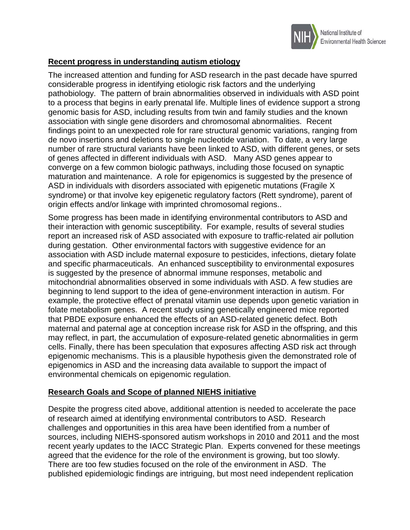

# **Recent progress in understanding autism etiology**

The increased attention and funding for ASD research in the past decade have spurred considerable progress in identifying etiologic risk factors and the underlying pathobiology. The pattern of brain abnormalities observed in individuals with ASD point to a process that begins in early prenatal life. Multiple lines of evidence support a strong genomic basis for ASD, including results from twin and family studies and the known association with single gene disorders and chromosomal abnormalities. Recent findings point to an unexpected role for rare structural genomic variations, ranging from de novo insertions and deletions to single nucleotide variation. To date, a very large number of rare structural variants have been linked to ASD, with different genes, or sets of genes affected in different individuals with ASD. Many ASD genes appear to converge on a few common biologic pathways, including those focused on synaptic maturation and maintenance. A role for epigenomics is suggested by the presence of ASD in individuals with disorders associated with epigenetic mutations (Fragile X syndrome) or that involve key epigenetic regulatory factors (Rett syndrome), parent of origin effects and/or linkage with imprinted chromosomal regions..

Some progress has been made in identifying environmental contributors to ASD and their interaction with genomic susceptibility. For example, results of several studies report an increased risk of ASD associated with exposure to traffic-related air pollution during gestation. Other environmental factors with suggestive evidence for an association with ASD include maternal exposure to pesticides, infections, dietary folate and specific pharmaceuticals. An enhanced susceptibility to environmental exposures is suggested by the presence of abnormal immune responses, metabolic and mitochondrial abnormalities observed in some individuals with ASD. A few studies are beginning to lend support to the idea of gene-environment interaction in autism. For example, the protective effect of prenatal vitamin use depends upon genetic variation in folate metabolism genes. A recent study using genetically engineered mice reported that PBDE exposure enhanced the effects of an ASD-related genetic defect. Both maternal and paternal age at conception increase risk for ASD in the offspring, and this may reflect, in part, the accumulation of exposure-related genetic abnormalities in germ cells. Finally, there has been speculation that exposures affecting ASD risk act through epigenomic mechanisms. This is a plausible hypothesis given the demonstrated role of epigenomics in ASD and the increasing data available to support the impact of environmental chemicals on epigenomic regulation.

## **Research Goals and Scope of planned NIEHS initiative**

Despite the progress cited above, additional attention is needed to accelerate the pace of research aimed at identifying environmental contributors to ASD. Research challenges and opportunities in this area have been identified from a number of sources, including NIEHS-sponsored autism workshops in 2010 and 2011 and the most recent yearly updates to the IACC Strategic Plan. Experts convened for these meetings agreed that the evidence for the role of the environment is growing, but too slowly. There are too few studies focused on the role of the environment in ASD. The published epidemiologic findings are intriguing, but most need independent replication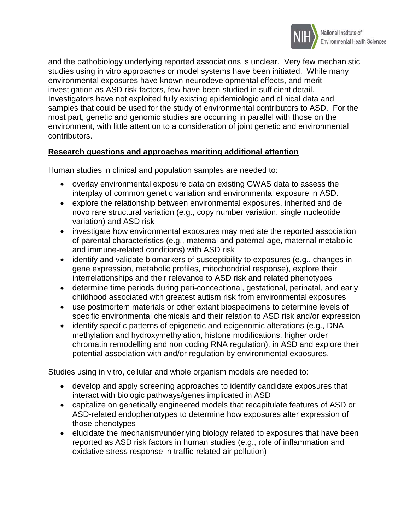

and the pathobiology underlying reported associations is unclear. Very few mechanistic studies using in vitro approaches or model systems have been initiated. While many environmental exposures have known neurodevelopmental effects, and merit investigation as ASD risk factors, few have been studied in sufficient detail. Investigators have not exploited fully existing epidemiologic and clinical data and samples that could be used for the study of environmental contributors to ASD. For the most part, genetic and genomic studies are occurring in parallel with those on the environment, with little attention to a consideration of joint genetic and environmental contributors.

# **Research questions and approaches meriting additional attention**

Human studies in clinical and population samples are needed to:

- overlay environmental exposure data on existing GWAS data to assess the interplay of common genetic variation and environmental exposure in ASD.
- explore the relationship between environmental exposures, inherited and de novo rare structural variation (e.g., copy number variation, single nucleotide variation) and ASD risk
- investigate how environmental exposures may mediate the reported association of parental characteristics (e.g., maternal and paternal age, maternal metabolic and immune-related conditions) with ASD risk
- identify and validate biomarkers of susceptibility to exposures (e.g., changes in gene expression, metabolic profiles, mitochondrial response), explore their interrelationships and their relevance to ASD risk and related phenotypes
- determine time periods during peri-conceptional, gestational, perinatal, and early childhood associated with greatest autism risk from environmental exposures
- use postmortem materials or other extant biospecimens to determine levels of specific environmental chemicals and their relation to ASD risk and/or expression
- identify specific patterns of epigenetic and epigenomic alterations (e.g., DNA methylation and hydroxymethylation, histone modifications, higher order chromatin remodelling and non coding RNA regulation), in ASD and explore their potential association with and/or regulation by environmental exposures.

Studies using in vitro, cellular and whole organism models are needed to:

- develop and apply screening approaches to identify candidate exposures that interact with biologic pathways/genes implicated in ASD
- capitalize on genetically engineered models that recapitulate features of ASD or ASD-related endophenotypes to determine how exposures alter expression of those phenotypes
- elucidate the mechanism/underlying biology related to exposures that have been reported as ASD risk factors in human studies (e.g., role of inflammation and oxidative stress response in traffic-related air pollution)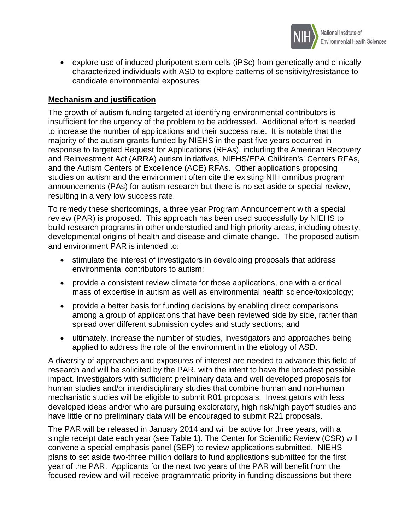

• explore use of induced pluripotent stem cells (iPSc) from genetically and clinically characterized individuals with ASD to explore patterns of sensitivity/resistance to candidate environmental exposures

## **Mechanism and justification**

The growth of autism funding targeted at identifying environmental contributors is insufficient for the urgency of the problem to be addressed. Additional effort is needed to increase the number of applications and their success rate. It is notable that the majority of the autism grants funded by NIEHS in the past five years occurred in response to targeted Request for Applications (RFAs), including the American Recovery and Reinvestment Act (ARRA) autism initiatives, NIEHS/EPA Children's' Centers RFAs, and the Autism Centers of Excellence (ACE) RFAs. Other applications proposing studies on autism and the environment often cite the existing NIH omnibus program announcements (PAs) for autism research but there is no set aside or special review, resulting in a very low success rate.

To remedy these shortcomings, a three year Program Announcement with a special review (PAR) is proposed. This approach has been used successfully by NIEHS to build research programs in other understudied and high priority areas, including obesity, developmental origins of health and disease and climate change. The proposed autism and environment PAR is intended to:

- stimulate the interest of investigators in developing proposals that address environmental contributors to autism;
- provide a consistent review climate for those applications, one with a critical mass of expertise in autism as well as environmental health science/toxicology;
- provide a better basis for funding decisions by enabling direct comparisons among a group of applications that have been reviewed side by side, rather than spread over different submission cycles and study sections; and
- ultimately, increase the number of studies, investigators and approaches being applied to address the role of the environment in the etiology of ASD.

A diversity of approaches and exposures of interest are needed to advance this field of research and will be solicited by the PAR, with the intent to have the broadest possible impact. Investigators with sufficient preliminary data and well developed proposals for human studies and/or interdisciplinary studies that combine human and non-human mechanistic studies will be eligible to submit R01 proposals. Investigators with less developed ideas and/or who are pursuing exploratory, high risk/high payoff studies and have little or no preliminary data will be encouraged to submit R21 proposals.

The PAR will be released in January 2014 and will be active for three years, with a single receipt date each year (see Table 1). The Center for Scientific Review (CSR) will convene a special emphasis panel (SEP) to review applications submitted. NIEHS plans to set aside two-three million dollars to fund applications submitted for the first year of the PAR. Applicants for the next two years of the PAR will benefit from the focused review and will receive programmatic priority in funding discussions but there